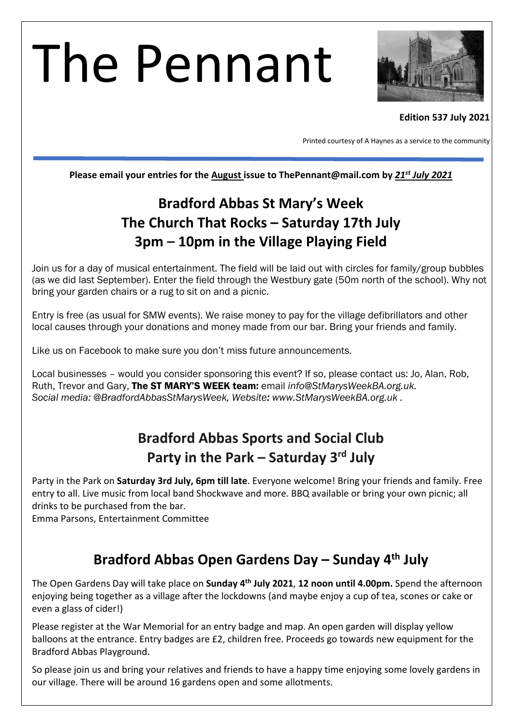# The Pennant



#### **Edition 537 July 2021**

Printed courtesy of A Haynes as a service to the community

**Please email your entries for the August issue to ThePennant@mail.com by** *21st July 2021*

# **Bradford Abbas St Mary's Week The Church That Rocks – Saturday 17th July 3pm – 10pm in the Village Playing Field**

Join us for a day of musical entertainment. The field will be laid out with circles for family/group bubbles (as we did last September). Enter the field through the Westbury gate (50m north of the school). Why not bring your garden chairs or a rug to sit on and a picnic.

Entry is free (as usual for SMW events). We raise money to pay for the village defibrillators and other local causes through your donations and money made from our bar. Bring your friends and family.

Like us on Facebook to make sure you don't miss future announcements.

Local businesses – would you consider sponsoring this event? If so, please contact us: Jo, Alan, Rob, Ruth, Trevor and Gary, The ST MARY'S WEEK team: email *info@StMarysWeekBA.org.uk. Social media: @BradfordAbbasStMarysWeek, Website: www.StMarysWeekBA.org.uk .*

# **Bradford Abbas Sports and Social Club Party in the Park – Saturday 3rd July**

Party in the Park on **Saturday 3rd July, 6pm till late**. Everyone welcome! Bring your friends and family. Free entry to all. Live music from local band Shockwave and more. BBQ available or bring your own picnic; all drinks to be purchased from the bar.

Emma Parsons, Entertainment Committee

## **Bradford Abbas Open Gardens Day – Sunday 4th July**

The Open Gardens Day will take place on **Sunday 4th July 2021**, **12 noon until 4.00pm.** Spend the afternoon enjoying being together as a village after the lockdowns (and maybe enjoy a cup of tea, scones or cake or even a glass of cider!)

Please register at the War Memorial for an entry badge and map. An open garden will display yellow balloons at the entrance. Entry badges are £2, children free. Proceeds go towards new equipment for the Bradford Abbas Playground.

So please join us and bring your relatives and friends to have a happy time enjoying some lovely gardens in our village. There will be around 16 gardens open and some allotments.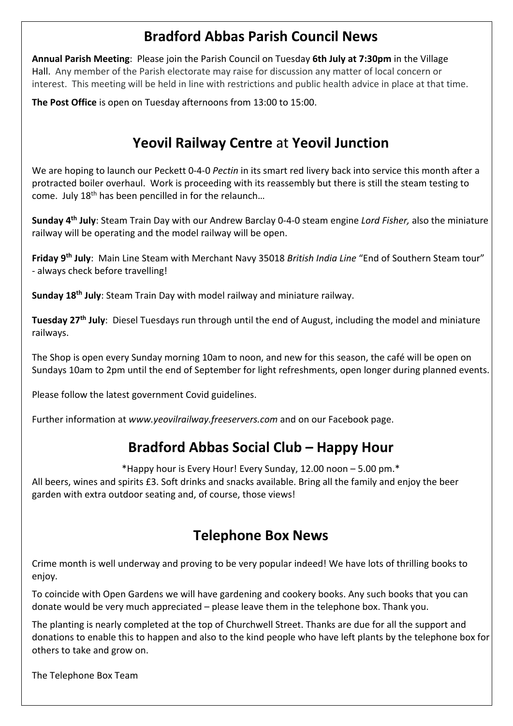# **Bradford Abbas Parish Council News**

**Annual Parish Meeting**: Please join the Parish Council on Tuesday **6th July at 7:30pm** in the Village Hall. Any member of the Parish electorate may raise for discussion any matter of local concern or interest. This meeting will be held in line with restrictions and public health advice in place at that time.

**The Post Office** is open on Tuesday afternoons from 13:00 to 15:00.

# **Yeovil Railway Centre** at **Yeovil Junction**

We are hoping to launch our Peckett 0-4-0 *Pectin* in its smart red livery back into service this month after a protracted boiler overhaul. Work is proceeding with its reassembly but there is still the steam testing to come. July 18<sup>th</sup> has been pencilled in for the relaunch...

**Sunday 4th July**: Steam Train Day with our Andrew Barclay 0-4-0 steam engine *Lord Fisher,* also the miniature railway will be operating and the model railway will be open.

**Friday 9th July**: Main Line Steam with Merchant Navy 35018 *British India Line* "End of Southern Steam tour" - always check before travelling!

**Sunday 18th July**: Steam Train Day with model railway and miniature railway.

**Tuesday 27th July**: Diesel Tuesdays run through until the end of August, including the model and miniature railways.

The Shop is open every Sunday morning 10am to noon, and new for this season, the café will be open on Sundays 10am to 2pm until the end of September for light refreshments, open longer during planned events.

Please follow the latest government Covid guidelines.

Further information at *www.yeovilrailway.freeservers.com* and on our Facebook page.

## **Bradford Abbas Social Club – Happy Hour**

\*Happy hour is Every Hour! Every Sunday, 12.00 noon – 5.00 pm.\* All beers, wines and spirits £3. Soft drinks and snacks available. Bring all the family and enjoy the beer garden with extra outdoor seating and, of course, those views!

## **Telephone Box News**

Crime month is well underway and proving to be very popular indeed! We have lots of thrilling books to enjoy.

To coincide with Open Gardens we will have gardening and cookery books. Any such books that you can donate would be very much appreciated – please leave them in the telephone box. Thank you.

The planting is nearly completed at the top of Churchwell Street. Thanks are due for all the support and donations to enable this to happen and also to the kind people who have left plants by the telephone box for others to take and grow on.

The Telephone Box Team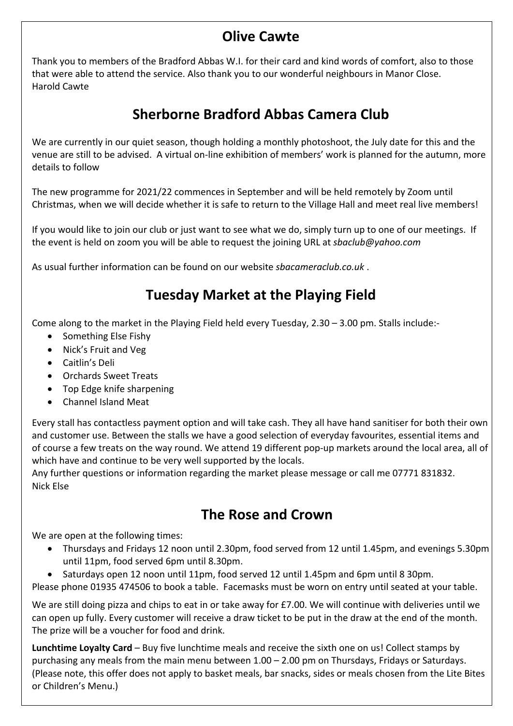# **Olive Cawte**

Thank you to members of the Bradford Abbas W.I. for their card and kind words of comfort, also to those that were able to attend the service. Also thank you to our wonderful neighbours in Manor Close. Harold Cawte

# **Sherborne Bradford Abbas Camera Club**

We are currently in our quiet season, though holding a monthly photoshoot, the July date for this and the venue are still to be advised. A virtual on-line exhibition of members' work is planned for the autumn, more details to follow

The new programme for 2021/22 commences in September and will be held remotely by Zoom until Christmas, when we will decide whether it is safe to return to the Village Hall and meet real live members!

If you would like to join our club or just want to see what we do, simply turn up to one of our meetings. If the event is held on zoom you will be able to request the joining URL at *sbaclub@yahoo.com*

As usual further information can be found on our website *sbacameraclub.co.uk* .

# **Tuesday Market at the Playing Field**

Come along to the market in the Playing Field held every Tuesday, 2.30 – 3.00 pm. Stalls include:-

- Something Else Fishy
- Nick's Fruit and Veg
- Caitlin's Deli
- Orchards Sweet Treats
- Top Edge knife sharpening
- Channel Island Meat

Every stall has contactless payment option and will take cash. They all have hand sanitiser for both their own and customer use. Between the stalls we have a good selection of everyday favourites, essential items and of course a few treats on the way round. We attend 19 different pop-up markets around the local area, all of which have and continue to be very well supported by the locals.

Any further questions or information regarding the market please message or call me 07771 831832. Nick Else

### **The Rose and Crown**

We are open at the following times:

- Thursdays and Fridays 12 noon until 2.30pm, food served from 12 until 1.45pm, and evenings 5.30pm until 11pm, food served 6pm until 8.30pm.
- Saturdays open 12 noon until 11pm, food served 12 until 1.45pm and 6pm until 8 30pm.

Please phone 01935 474506 to book a table. Facemasks must be worn on entry until seated at your table.

We are still doing pizza and chips to eat in or take away for £7.00. We will continue with deliveries until we can open up fully. Every customer will receive a draw ticket to be put in the draw at the end of the month. The prize will be a voucher for food and drink.

**Lunchtime Loyalty Card** – Buy five lunchtime meals and receive the sixth one on us! Collect stamps by purchasing any meals from the main menu between 1.00 – 2.00 pm on Thursdays, Fridays or Saturdays. (Please note, this offer does not apply to basket meals, bar snacks, sides or meals chosen from the Lite Bites or Children's Menu.)